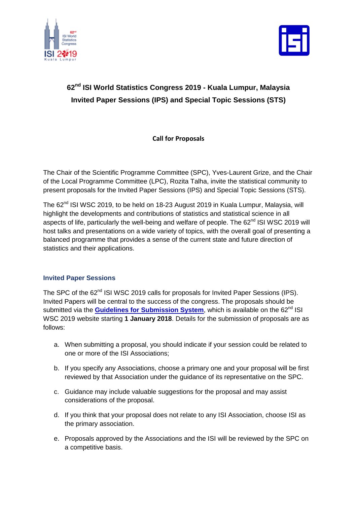



# **62nd ISI World Statistics Congress 2019 - Kuala Lumpur, Malaysia Invited Paper Sessions (IPS) and Special Topic Sessions (STS)**

**Call for Proposals**

The Chair of the Scientific Programme Committee (SPC), Yves-Laurent Grize, and the Chair of the Local Programme Committee (LPC), Rozita Talha, invite the statistical community to present proposals for the Invited Paper Sessions (IPS) and Special Topic Sessions (STS).

The 62<sup>nd</sup> ISI WSC 2019, to be held on 18-23 August 2019 in Kuala Lumpur, Malaysia, will highlight the developments and contributions of statistics and statistical science in all aspects of life, particularly the well-being and welfare of people. The 62<sup>nd</sup> ISI WSC 2019 will host talks and presentations on a wide variety of topics, with the overall goal of presenting a balanced programme that provides a sense of the current state and future direction of statistics and their applications.

## **Invited Paper Sessions**

The SPC of the 62<sup>nd</sup> ISI WSC 2019 calls for proposals for Invited Paper Sessions (IPS). Invited Papers will be central to the success of the congress. The proposals should be submitted via the **[Guidelines for Submission System](http://www.isi2019.org/call-for-proposals/guidelines-for-submission-system)**, which is available on the 62<sup>nd</sup> ISI WSC 2019 website starting **1 January 2018**. Details for the submission of proposals are as follows:

- a. When submitting a proposal, you should indicate if your session could be related to one or more of the ISI Associations;
- b. If you specify any Associations, choose a primary one and your proposal will be first reviewed by that Association under the guidance of its representative on the SPC.
- c. Guidance may include valuable suggestions for the proposal and may assist considerations of the proposal.
- d. If you think that your proposal does not relate to any ISI Association, choose ISI as the primary association.
- e. Proposals approved by the Associations and the ISI will be reviewed by the SPC on a competitive basis.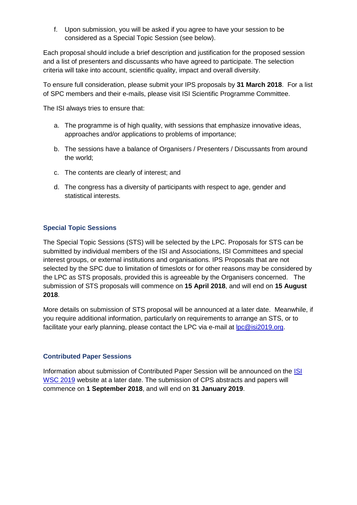f. Upon submission, you will be asked if you agree to have your session to be considered as a Special Topic Session (see below).

Each proposal should include a brief description and justification for the proposed session and a list of presenters and discussants who have agreed to participate. The selection criteria will take into account, scientific quality, impact and overall diversity.

To ensure full consideration, please submit your IPS proposals by **31 March 2018**. For a list of SPC members and their e-mails, please visit ISI Scientific Programme Committee.

The ISI always tries to ensure that:

- a. The programme is of high quality, with sessions that emphasize innovative ideas, approaches and/or applications to problems of importance;
- b. The sessions have a balance of Organisers / Presenters / Discussants from around the world;
- c. The contents are clearly of interest; and
- d. The congress has a diversity of participants with respect to age, gender and statistical interests.

#### **Special Topic Sessions**

The Special Topic Sessions (STS) will be selected by the LPC. Proposals for STS can be submitted by individual members of the ISI and Associations, ISI Committees and special interest groups, or external institutions and organisations. IPS Proposals that are not selected by the SPC due to limitation of timeslots or for other reasons may be considered by the LPC as STS proposals, provided this is agreeable by the Organisers concerned. The submission of STS proposals will commence on **15 April 2018**, and will end on **15 August 2018**.

More details on submission of STS proposal will be announced at a later date. Meanwhile, if you require additional information, particularly on requirements to arrange an STS, or to facilitate your early planning, please contact the LPC via e-mail at [lpc@isi2019.org.](mailto:lpc@isi2019.org)

#### **Contributed Paper Sessions**

Information about submission of Contributed Paper Session will be announced on the [ISI](http://www.isi2019.org/)  [WSC 2019](http://www.isi2019.org/) website at a later date. The submission of CPS abstracts and papers will commence on **1 September 2018**, and will end on **31 January 2019**.